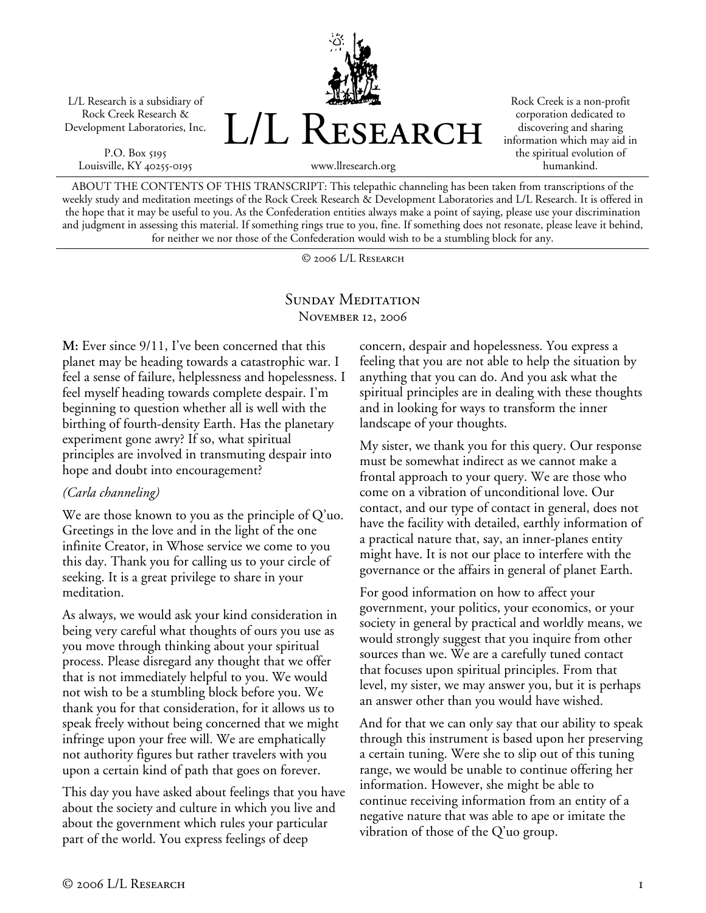L/L Research is a subsidiary of Rock Creek Research & Development Laboratories, Inc.

P.O. Box 5195 Louisville, KY 40255-0195



Rock Creek is a non-profit corporation dedicated to discovering and sharing information which may aid in the spiritual evolution of humankind.

www.llresearch.org

ABOUT THE CONTENTS OF THIS TRANSCRIPT: This telepathic channeling has been taken from transcriptions of the weekly study and meditation meetings of the Rock Creek Research & Development Laboratories and L/L Research. It is offered in the hope that it may be useful to you. As the Confederation entities always make a point of saying, please use your discrimination and judgment in assessing this material. If something rings true to you, fine. If something does not resonate, please leave it behind, for neither we nor those of the Confederation would wish to be a stumbling block for any.

© 2006 L/L Research

## SUNDAY MEDITATION November 12, 2006

**M:** Ever since 9/11, I've been concerned that this planet may be heading towards a catastrophic war. I feel a sense of failure, helplessness and hopelessness. I feel myself heading towards complete despair. I'm beginning to question whether all is well with the birthing of fourth-density Earth. Has the planetary experiment gone awry? If so, what spiritual principles are involved in transmuting despair into hope and doubt into encouragement?

## *(Carla channeling)*

We are those known to you as the principle of Q'uo. Greetings in the love and in the light of the one infinite Creator, in Whose service we come to you this day. Thank you for calling us to your circle of seeking. It is a great privilege to share in your meditation.

As always, we would ask your kind consideration in being very careful what thoughts of ours you use as you move through thinking about your spiritual process. Please disregard any thought that we offer that is not immediately helpful to you. We would not wish to be a stumbling block before you. We thank you for that consideration, for it allows us to speak freely without being concerned that we might infringe upon your free will. We are emphatically not authority figures but rather travelers with you upon a certain kind of path that goes on forever.

This day you have asked about feelings that you have about the society and culture in which you live and about the government which rules your particular part of the world. You express feelings of deep

concern, despair and hopelessness. You express a feeling that you are not able to help the situation by anything that you can do. And you ask what the spiritual principles are in dealing with these thoughts and in looking for ways to transform the inner landscape of your thoughts.

My sister, we thank you for this query. Our response must be somewhat indirect as we cannot make a frontal approach to your query. We are those who come on a vibration of unconditional love. Our contact, and our type of contact in general, does not have the facility with detailed, earthly information of a practical nature that, say, an inner-planes entity might have. It is not our place to interfere with the governance or the affairs in general of planet Earth.

For good information on how to affect your government, your politics, your economics, or your society in general by practical and worldly means, we would strongly suggest that you inquire from other sources than we. We are a carefully tuned contact that focuses upon spiritual principles. From that level, my sister, we may answer you, but it is perhaps an answer other than you would have wished.

And for that we can only say that our ability to speak through this instrument is based upon her preserving a certain tuning. Were she to slip out of this tuning range, we would be unable to continue offering her information. However, she might be able to continue receiving information from an entity of a negative nature that was able to ape or imitate the vibration of those of the Q'uo group.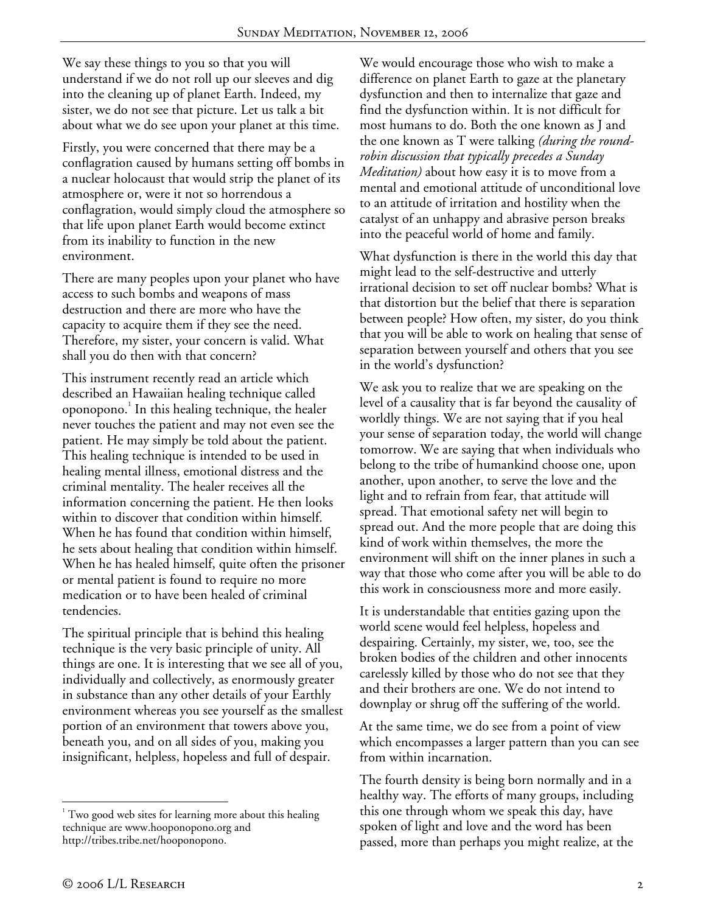We say these things to you so that you will understand if we do not roll up our sleeves and dig into the cleaning up of planet Earth. Indeed, my sister, we do not see that picture. Let us talk a bit about what we do see upon your planet at this time.

Firstly, you were concerned that there may be a conflagration caused by humans setting off bombs in a nuclear holocaust that would strip the planet of its atmosphere or, were it not so horrendous a conflagration, would simply cloud the atmosphere so that life upon planet Earth would become extinct from its inability to function in the new environment.

There are many peoples upon your planet who have access to such bombs and weapons of mass destruction and there are more who have the capacity to acquire them if they see the need. Therefore, my sister, your concern is valid. What shall you do then with that concern?

This instrument recently read an article which described an Hawaiian healing technique called oponopono.<sup>1</sup> In this healing technique, the healer never touches the patient and may not even see the patient. He may simply be told about the patient. This healing technique is intended to be used in healing mental illness, emotional distress and the criminal mentality. The healer receives all the information concerning the patient. He then looks within to discover that condition within himself. When he has found that condition within himself, he sets about healing that condition within himself. When he has healed himself, quite often the prisoner or mental patient is found to require no more medication or to have been healed of criminal tendencies.

The spiritual principle that is behind this healing technique is the very basic principle of unity. All things are one. It is interesting that we see all of you, individually and collectively, as enormously greater in substance than any other details of your Earthly environment whereas you see yourself as the smallest portion of an environment that towers above you, beneath you, and on all sides of you, making you insignificant, helpless, hopeless and full of despair.

We would encourage those who wish to make a difference on planet Earth to gaze at the planetary dysfunction and then to internalize that gaze and find the dysfunction within. It is not difficult for most humans to do. Both the one known as J and the one known as T were talking *(during the roundrobin discussion that typically precedes a Sunday Meditation)* about how easy it is to move from a mental and emotional attitude of unconditional love to an attitude of irritation and hostility when the catalyst of an unhappy and abrasive person breaks into the peaceful world of home and family.

What dysfunction is there in the world this day that might lead to the self-destructive and utterly irrational decision to set off nuclear bombs? What is that distortion but the belief that there is separation between people? How often, my sister, do you think that you will be able to work on healing that sense of separation between yourself and others that you see in the world's dysfunction?

We ask you to realize that we are speaking on the level of a causality that is far beyond the causality of worldly things. We are not saying that if you heal your sense of separation today, the world will change tomorrow. We are saying that when individuals who belong to the tribe of humankind choose one, upon another, upon another, to serve the love and the light and to refrain from fear, that attitude will spread. That emotional safety net will begin to spread out. And the more people that are doing this kind of work within themselves, the more the environment will shift on the inner planes in such a way that those who come after you will be able to do this work in consciousness more and more easily.

It is understandable that entities gazing upon the world scene would feel helpless, hopeless and despairing. Certainly, my sister, we, too, see the broken bodies of the children and other innocents carelessly killed by those who do not see that they and their brothers are one. We do not intend to downplay or shrug off the suffering of the world.

At the same time, we do see from a point of view which encompasses a larger pattern than you can see from within incarnation.

The fourth density is being born normally and in a healthy way. The efforts of many groups, including this one through whom we speak this day, have spoken of light and love and the word has been passed, more than perhaps you might realize, at the

 $\overline{a}$ 

<sup>&</sup>lt;sup>1</sup> Two good web sites for learning more about this healing technique are www.hooponopono.org and http://tribes.tribe.net/hooponopono.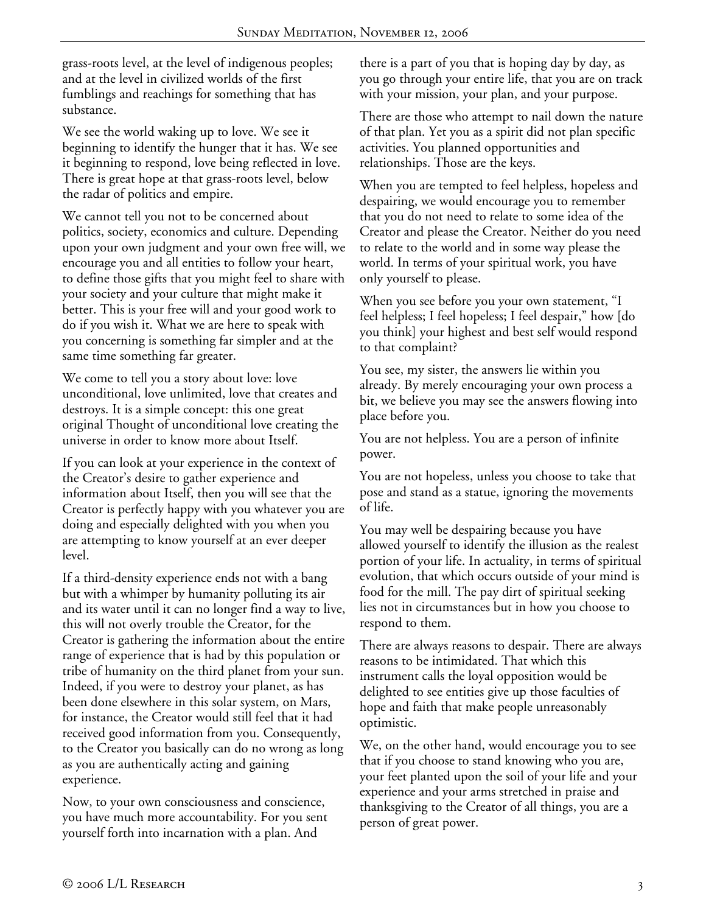grass-roots level, at the level of indigenous peoples; and at the level in civilized worlds of the first fumblings and reachings for something that has substance.

We see the world waking up to love. We see it beginning to identify the hunger that it has. We see it beginning to respond, love being reflected in love. There is great hope at that grass-roots level, below the radar of politics and empire.

We cannot tell you not to be concerned about politics, society, economics and culture. Depending upon your own judgment and your own free will, we encourage you and all entities to follow your heart, to define those gifts that you might feel to share with your society and your culture that might make it better. This is your free will and your good work to do if you wish it. What we are here to speak with you concerning is something far simpler and at the same time something far greater.

We come to tell you a story about love: love unconditional, love unlimited, love that creates and destroys. It is a simple concept: this one great original Thought of unconditional love creating the universe in order to know more about Itself.

If you can look at your experience in the context of the Creator's desire to gather experience and information about Itself, then you will see that the Creator is perfectly happy with you whatever you are doing and especially delighted with you when you are attempting to know yourself at an ever deeper level.

If a third-density experience ends not with a bang but with a whimper by humanity polluting its air and its water until it can no longer find a way to live, this will not overly trouble the Creator, for the Creator is gathering the information about the entire range of experience that is had by this population or tribe of humanity on the third planet from your sun. Indeed, if you were to destroy your planet, as has been done elsewhere in this solar system, on Mars, for instance, the Creator would still feel that it had received good information from you. Consequently, to the Creator you basically can do no wrong as long as you are authentically acting and gaining experience.

Now, to your own consciousness and conscience, you have much more accountability. For you sent yourself forth into incarnation with a plan. And

there is a part of you that is hoping day by day, as you go through your entire life, that you are on track with your mission, your plan, and your purpose.

There are those who attempt to nail down the nature of that plan. Yet you as a spirit did not plan specific activities. You planned opportunities and relationships. Those are the keys.

When you are tempted to feel helpless, hopeless and despairing, we would encourage you to remember that you do not need to relate to some idea of the Creator and please the Creator. Neither do you need to relate to the world and in some way please the world. In terms of your spiritual work, you have only yourself to please.

When you see before you your own statement, "I feel helpless; I feel hopeless; I feel despair," how [do you think] your highest and best self would respond to that complaint?

You see, my sister, the answers lie within you already. By merely encouraging your own process a bit, we believe you may see the answers flowing into place before you.

You are not helpless. You are a person of infinite power.

You are not hopeless, unless you choose to take that pose and stand as a statue, ignoring the movements of life.

You may well be despairing because you have allowed yourself to identify the illusion as the realest portion of your life. In actuality, in terms of spiritual evolution, that which occurs outside of your mind is food for the mill. The pay dirt of spiritual seeking lies not in circumstances but in how you choose to respond to them.

There are always reasons to despair. There are always reasons to be intimidated. That which this instrument calls the loyal opposition would be delighted to see entities give up those faculties of hope and faith that make people unreasonably optimistic.

We, on the other hand, would encourage you to see that if you choose to stand knowing who you are, your feet planted upon the soil of your life and your experience and your arms stretched in praise and thanksgiving to the Creator of all things, you are a person of great power.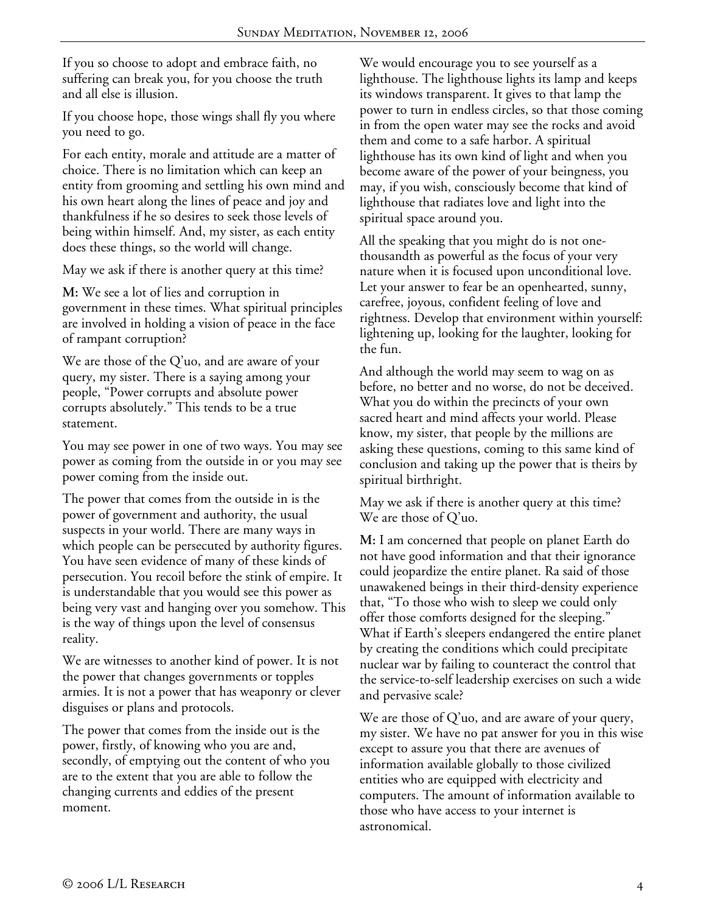If you so choose to adopt and embrace faith, no suffering can break you, for you choose the truth and all else is illusion.

If you choose hope, those wings shall fly you where you need to go.

For each entity, morale and attitude are a matter of choice. There is no limitation which can keep an entity from grooming and settling his own mind and his own heart along the lines of peace and joy and thankfulness if he so desires to seek those levels of being within himself. And, my sister, as each entity does these things, so the world will change.

May we ask if there is another query at this time?

**M:** We see a lot of lies and corruption in government in these times. What spiritual principles are involved in holding a vision of peace in the face of rampant corruption?

We are those of the Q'uo, and are aware of your query, my sister. There is a saying among your people, "Power corrupts and absolute power corrupts absolutely." This tends to be a true statement.

You may see power in one of two ways. You may see power as coming from the outside in or you may see power coming from the inside out.

The power that comes from the outside in is the power of government and authority, the usual suspects in your world. There are many ways in which people can be persecuted by authority figures. You have seen evidence of many of these kinds of persecution. You recoil before the stink of empire. It is understandable that you would see this power as being very vast and hanging over you somehow. This is the way of things upon the level of consensus reality.

We are witnesses to another kind of power. It is not the power that changes governments or topples armies. It is not a power that has weaponry or clever disguises or plans and protocols.

The power that comes from the inside out is the power, firstly, of knowing who you are and, secondly, of emptying out the content of who you are to the extent that you are able to follow the changing currents and eddies of the present moment.

We would encourage you to see yourself as a lighthouse. The lighthouse lights its lamp and keeps its windows transparent. It gives to that lamp the power to turn in endless circles, so that those coming in from the open water may see the rocks and avoid them and come to a safe harbor. A spiritual lighthouse has its own kind of light and when you become aware of the power of your beingness, you may, if you wish, consciously become that kind of lighthouse that radiates love and light into the spiritual space around you.

All the speaking that you might do is not onethousandth as powerful as the focus of your very nature when it is focused upon unconditional love. Let your answer to fear be an openhearted, sunny, carefree, joyous, confident feeling of love and rightness. Develop that environment within yourself: lightening up, looking for the laughter, looking for the fun.

And although the world may seem to wag on as before, no better and no worse, do not be deceived. What you do within the precincts of your own sacred heart and mind affects your world. Please know, my sister, that people by the millions are asking these questions, coming to this same kind of conclusion and taking up the power that is theirs by spiritual birthright.

May we ask if there is another query at this time? We are those of Q'uo.

**M:** I am concerned that people on planet Earth do not have good information and that their ignorance could jeopardize the entire planet. Ra said of those unawakened beings in their third-density experience that, "To those who wish to sleep we could only offer those comforts designed for the sleeping." What if Earth's sleepers endangered the entire planet by creating the conditions which could precipitate nuclear war by failing to counteract the control that the service-to-self leadership exercises on such a wide and pervasive scale?

We are those of  $Q'$ uo, and are aware of your query, my sister. We have no pat answer for you in this wise except to assure you that there are avenues of information available globally to those civilized entities who are equipped with electricity and computers. The amount of information available to those who have access to your internet is astronomical.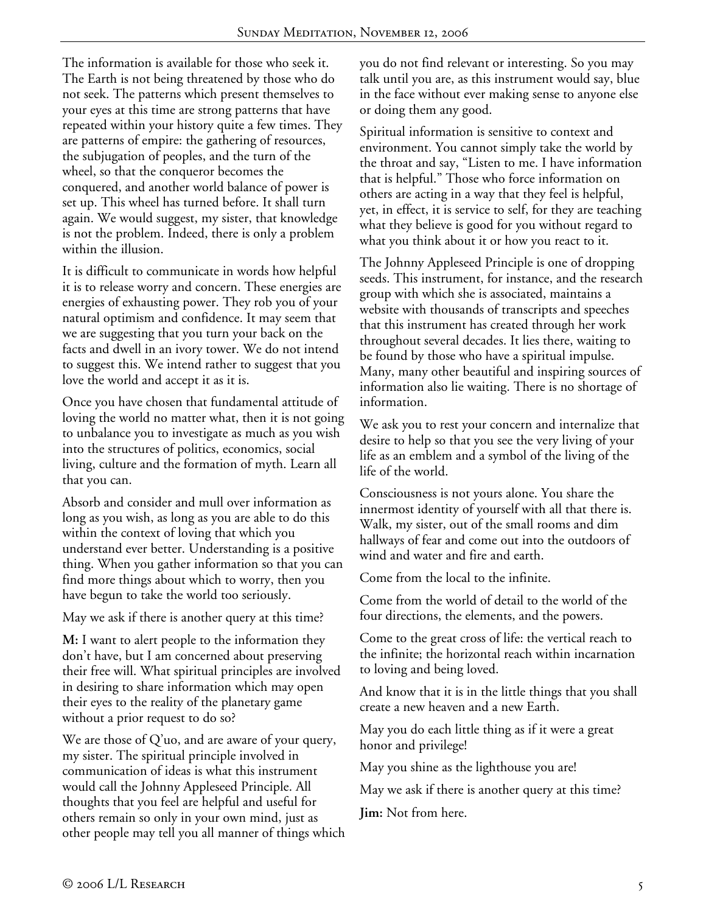The information is available for those who seek it. The Earth is not being threatened by those who do not seek. The patterns which present themselves to your eyes at this time are strong patterns that have repeated within your history quite a few times. They are patterns of empire: the gathering of resources, the subjugation of peoples, and the turn of the wheel, so that the conqueror becomes the conquered, and another world balance of power is set up. This wheel has turned before. It shall turn again. We would suggest, my sister, that knowledge is not the problem. Indeed, there is only a problem within the illusion.

It is difficult to communicate in words how helpful it is to release worry and concern. These energies are energies of exhausting power. They rob you of your natural optimism and confidence. It may seem that we are suggesting that you turn your back on the facts and dwell in an ivory tower. We do not intend to suggest this. We intend rather to suggest that you love the world and accept it as it is.

Once you have chosen that fundamental attitude of loving the world no matter what, then it is not going to unbalance you to investigate as much as you wish into the structures of politics, economics, social living, culture and the formation of myth. Learn all that you can.

Absorb and consider and mull over information as long as you wish, as long as you are able to do this within the context of loving that which you understand ever better. Understanding is a positive thing. When you gather information so that you can find more things about which to worry, then you have begun to take the world too seriously.

May we ask if there is another query at this time?

**M:** I want to alert people to the information they don't have, but I am concerned about preserving their free will. What spiritual principles are involved in desiring to share information which may open their eyes to the reality of the planetary game without a prior request to do so?

We are those of Q'uo, and are aware of your query, my sister. The spiritual principle involved in communication of ideas is what this instrument would call the Johnny Appleseed Principle. All thoughts that you feel are helpful and useful for others remain so only in your own mind, just as other people may tell you all manner of things which you do not find relevant or interesting. So you may talk until you are, as this instrument would say, blue in the face without ever making sense to anyone else or doing them any good.

Spiritual information is sensitive to context and environment. You cannot simply take the world by the throat and say, "Listen to me. I have information that is helpful." Those who force information on others are acting in a way that they feel is helpful, yet, in effect, it is service to self, for they are teaching what they believe is good for you without regard to what you think about it or how you react to it.

The Johnny Appleseed Principle is one of dropping seeds. This instrument, for instance, and the research group with which she is associated, maintains a website with thousands of transcripts and speeches that this instrument has created through her work throughout several decades. It lies there, waiting to be found by those who have a spiritual impulse. Many, many other beautiful and inspiring sources of information also lie waiting. There is no shortage of information.

We ask you to rest your concern and internalize that desire to help so that you see the very living of your life as an emblem and a symbol of the living of the life of the world.

Consciousness is not yours alone. You share the innermost identity of yourself with all that there is. Walk, my sister, out of the small rooms and dim hallways of fear and come out into the outdoors of wind and water and fire and earth.

Come from the local to the infinite.

Come from the world of detail to the world of the four directions, the elements, and the powers.

Come to the great cross of life: the vertical reach to the infinite; the horizontal reach within incarnation to loving and being loved.

And know that it is in the little things that you shall create a new heaven and a new Earth.

May you do each little thing as if it were a great honor and privilege!

May you shine as the lighthouse you are!

May we ask if there is another query at this time?

**Jim:** Not from here.